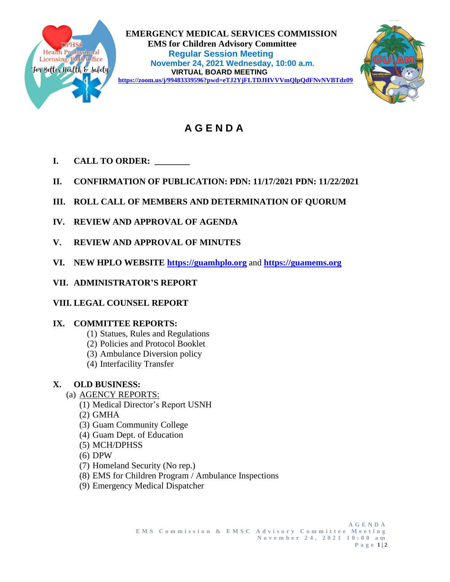

 **EMERGENCY MEDICAL SERVICES COMMISSION EMS for Children Advisory Committee<br>
Health Professional Regular Session Meeting<br>
Licensing/EMS Office<br>
November 24, 2021 Mednosdov, 10:00 Regular Session Meeting November 24, 2021 Wednesday, 10:00 a.m. VIRTUAL BOARD MEETING <https://zoom.us/j/99483339596?pwd=eTJ2YjFLTDJHVVVmQlpQdFNvNVBTdz09>**



# **A G E N D A**

- **I. CALL TO ORDER: \_\_\_\_\_\_\_\_**
- **II. CONFIRMATION OF PUBLICATION: PDN: 11/17/2021 PDN: 11/22/2021**
- **III. ROLL CALL OF MEMBERS AND DETERMINATION OF QUORUM**
- **IV. REVIEW AND APPROVAL OF AGENDA**
- **V. REVIEW AND APPROVAL OF MINUTES**
- **VI. NEW HPLO WEBSITE [https://guamhplo.org](https://guamhplo.org/)** and **[https://guamems.org](https://guamems.org/)**
- **VII. ADMINISTRATOR'S REPORT**
- **VIII. LEGAL COUNSEL REPORT**

## **IX. COMMITTEE REPORTS:**

- (1) Statues, Rules and Regulations
- (2) Policies and Protocol Booklet
- (3) Ambulance Diversion policy
- (4) Interfacility Transfer

# **X. OLD BUSINESS:**

- (a) AGENCY REPORTS:
	- (1) Medical Director's Report USNH
	- (2) GMHA
	- (3) Guam Community College
	- (4) Guam Dept. of Education
	- (5) MCH/DPHSS
	- (6) DPW
	- (7) Homeland Security (No rep.)
	- (8) EMS for Children Program / Ambulance Inspections
	- (9) Emergency Medical Dispatcher